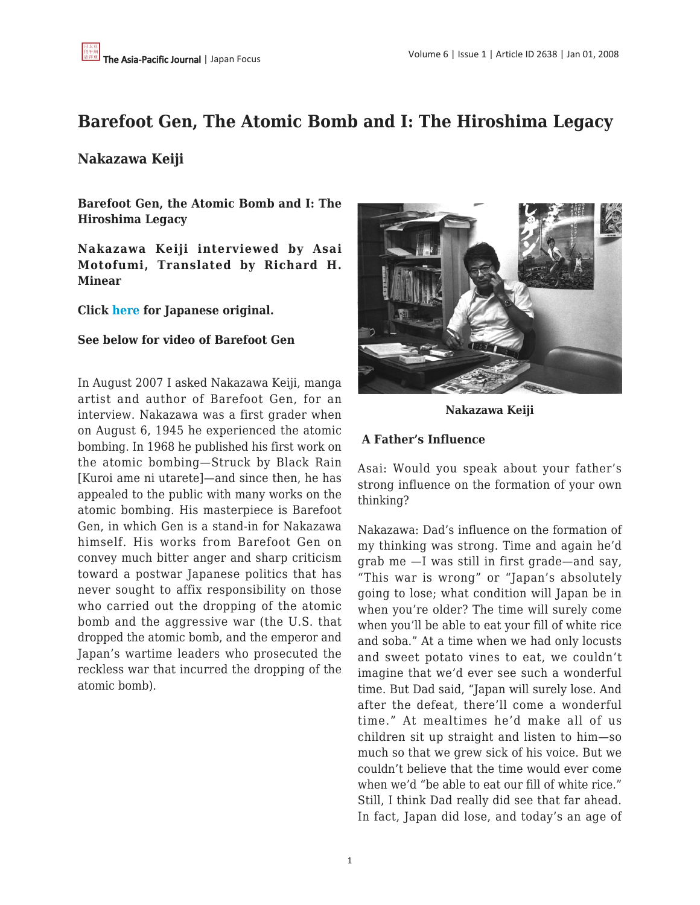# **Barefoot Gen, The Atomic Bomb and I: The Hiroshima Legacy**

# **Nakazawa Keiji**

**Barefoot Gen, the Atomic Bomb and I: The Hiroshima Legacy**

**Nakazawa Keiji interviewed by Asai Motofumi, Translated by Richard H. Minear**

**Click [here](https://apjjf.org/data/Microsoft Word - genisangry.j.original.pdf) for Japanese original.**

#### **See below for video of Barefoot Gen**

In August 2007 I asked Nakazawa Keiji, manga artist and author of Barefoot Gen, for an interview. Nakazawa was a first grader when on August 6, 1945 he experienced the atomic bombing. In 1968 he published his first work on the atomic bombing—Struck by Black Rain [Kuroi ame ni utarete]—and since then, he has appealed to the public with many works on the atomic bombing. His masterpiece is Barefoot Gen, in which Gen is a stand-in for Nakazawa himself. His works from Barefoot Gen on convey much bitter anger and sharp criticism toward a postwar Japanese politics that has never sought to affix responsibility on those who carried out the dropping of the atomic bomb and the aggressive war (the U.S. that dropped the atomic bomb, and the emperor and Japan's wartime leaders who prosecuted the reckless war that incurred the dropping of the atomic bomb).



**Nakazawa Keiji**

#### **A Father's Influence**

Asai: Would you speak about your father's strong influence on the formation of your own thinking?

Nakazawa: Dad's influence on the formation of my thinking was strong. Time and again he'd grab me —I was still in first grade—and say, "This war is wrong" or "Japan's absolutely going to lose; what condition will Japan be in when you're older? The time will surely come when you'll be able to eat your fill of white rice and soba." At a time when we had only locusts and sweet potato vines to eat, we couldn't imagine that we'd ever see such a wonderful time. But Dad said, "Japan will surely lose. And after the defeat, there'll come a wonderful time." At mealtimes he'd make all of us children sit up straight and listen to him—so much so that we grew sick of his voice. But we couldn't believe that the time would ever come when we'd "be able to eat our fill of white rice." Still, I think Dad really did see that far ahead. In fact, Japan did lose, and today's an age of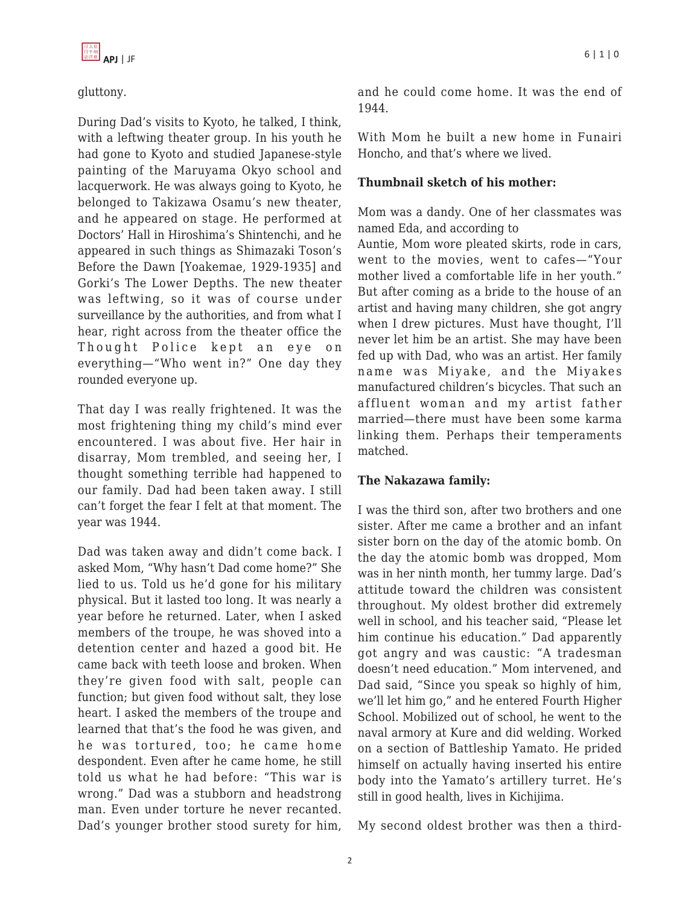# gluttony.

During Dad's visits to Kyoto, he talked, I think, with a leftwing theater group. In his youth he had gone to Kyoto and studied Japanese-style painting of the Maruyama Okyo school and lacquerwork. He was always going to Kyoto, he belonged to Takizawa Osamu's new theater, and he appeared on stage. He performed at Doctors' Hall in Hiroshima's Shintenchi, and he appeared in such things as Shimazaki Toson's Before the Dawn [Yoakemae, 1929-1935] and Gorki's The Lower Depths. The new theater was leftwing, so it was of course under surveillance by the authorities, and from what I hear, right across from the theater office the Thought Police kept an eye on everything—"Who went in?" One day they rounded everyone up.

That day I was really frightened. It was the most frightening thing my child's mind ever encountered. I was about five. Her hair in disarray, Mom trembled, and seeing her, I thought something terrible had happened to our family. Dad had been taken away. I still can't forget the fear I felt at that moment. The year was 1944.

Dad was taken away and didn't come back. I asked Mom, "Why hasn't Dad come home?" She lied to us. Told us he'd gone for his military physical. But it lasted too long. It was nearly a year before he returned. Later, when I asked members of the troupe, he was shoved into a detention center and hazed a good bit. He came back with teeth loose and broken. When they're given food with salt, people can function; but given food without salt, they lose heart. I asked the members of the troupe and learned that that's the food he was given, and he was tortured, too; he came home despondent. Even after he came home, he still told us what he had before: "This war is wrong." Dad was a stubborn and headstrong man. Even under torture he never recanted. Dad's younger brother stood surety for him, and he could come home. It was the end of 1944.

With Mom he built a new home in Funairi Honcho, and that's where we lived.

# **Thumbnail sketch of his mother:**

Mom was a dandy. One of her classmates was named Eda, and according to

Auntie, Mom wore pleated skirts, rode in cars, went to the movies, went to cafes—"Your mother lived a comfortable life in her youth." But after coming as a bride to the house of an artist and having many children, she got angry when I drew pictures. Must have thought, I'll never let him be an artist. She may have been fed up with Dad, who was an artist. Her family name was Miyake, and the Miyakes manufactured children's bicycles. That such an affluent woman and my artist father married—there must have been some karma linking them. Perhaps their temperaments matched.

## **The Nakazawa family:**

I was the third son, after two brothers and one sister. After me came a brother and an infant sister born on the day of the atomic bomb. On the day the atomic bomb was dropped, Mom was in her ninth month, her tummy large. Dad's attitude toward the children was consistent throughout. My oldest brother did extremely well in school, and his teacher said, "Please let him continue his education." Dad apparently got angry and was caustic: "A tradesman doesn't need education." Mom intervened, and Dad said, "Since you speak so highly of him, we'll let him go," and he entered Fourth Higher School. Mobilized out of school, he went to the naval armory at Kure and did welding. Worked on a section of Battleship Yamato. He prided himself on actually having inserted his entire body into the Yamato's artillery turret. He's still in good health, lives in Kichijima.

My second oldest brother was then a third-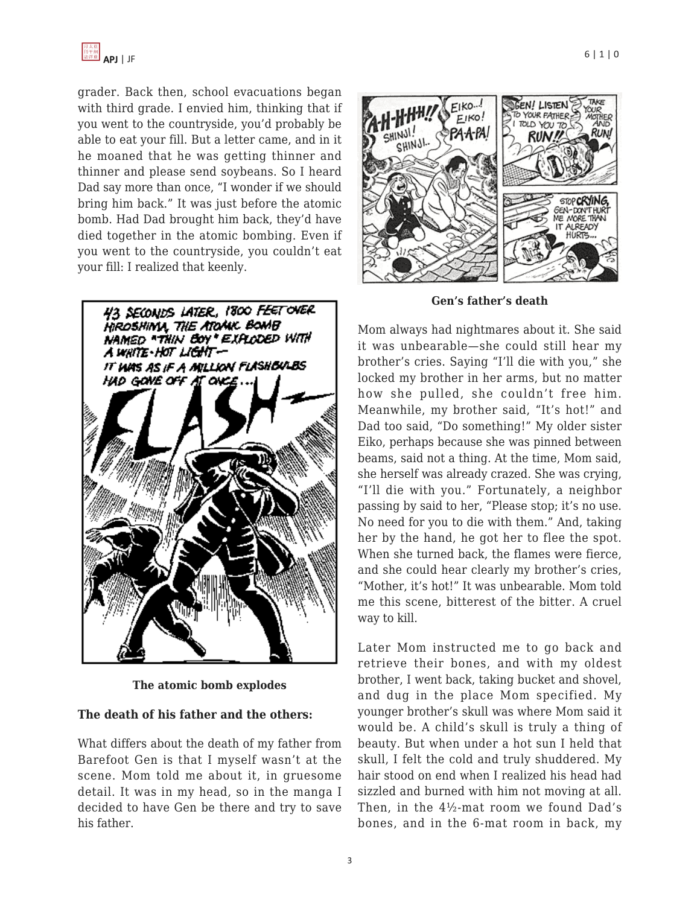

grader. Back then, school evacuations began with third grade. I envied him, thinking that if you went to the countryside, you'd probably be able to eat your fill. But a letter came, and in it he moaned that he was getting thinner and thinner and please send soybeans. So I heard Dad say more than once, "I wonder if we should bring him back." It was just before the atomic bomb. Had Dad brought him back, they'd have died together in the atomic bombing. Even if you went to the countryside, you couldn't eat your fill: I realized that keenly.



**The atomic bomb explodes**

#### **The death of his father and the others:**

What differs about the death of my father from Barefoot Gen is that I myself wasn't at the scene. Mom told me about it, in gruesome detail. It was in my head, so in the manga I decided to have Gen be there and try to save his father.



**Gen's father's death**

Mom always had nightmares about it. She said it was unbearable—she could still hear my brother's cries. Saying "I'll die with you," she locked my brother in her arms, but no matter how she pulled, she couldn't free him. Meanwhile, my brother said, "It's hot!" and Dad too said, "Do something!" My older sister Eiko, perhaps because she was pinned between beams, said not a thing. At the time, Mom said, she herself was already crazed. She was crying, "I'll die with you." Fortunately, a neighbor passing by said to her, "Please stop; it's no use. No need for you to die with them." And, taking her by the hand, he got her to flee the spot. When she turned back, the flames were fierce, and she could hear clearly my brother's cries, "Mother, it's hot!" It was unbearable. Mom told me this scene, bitterest of the bitter. A cruel way to kill.

Later Mom instructed me to go back and retrieve their bones, and with my oldest brother, I went back, taking bucket and shovel, and dug in the place Mom specified. My younger brother's skull was where Mom said it would be. A child's skull is truly a thing of beauty. But when under a hot sun I held that skull, I felt the cold and truly shuddered. My hair stood on end when I realized his head had sizzled and burned with him not moving at all. Then, in the 4½-mat room we found Dad's bones, and in the 6-mat room in back, my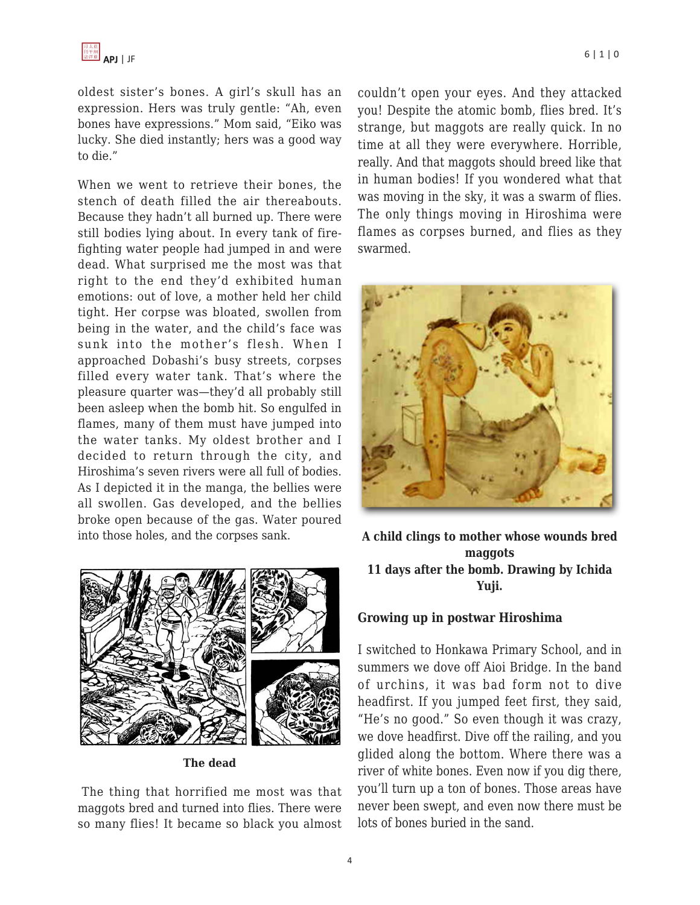oldest sister's bones. A girl's skull has an expression. Hers was truly gentle: "Ah, even bones have expressions." Mom said, "Eiko was lucky. She died instantly; hers was a good way to die."

When we went to retrieve their bones, the stench of death filled the air thereabouts. Because they hadn't all burned up. There were still bodies lying about. In every tank of firefighting water people had jumped in and were dead. What surprised me the most was that right to the end they'd exhibited human emotions: out of love, a mother held her child tight. Her corpse was bloated, swollen from being in the water, and the child's face was sunk into the mother's flesh. When I approached Dobashi's busy streets, corpses filled every water tank. That's where the pleasure quarter was—they'd all probably still been asleep when the bomb hit. So engulfed in flames, many of them must have jumped into the water tanks. My oldest brother and I decided to return through the city, and Hiroshima's seven rivers were all full of bodies. As I depicted it in the manga, the bellies were all swollen. Gas developed, and the bellies broke open because of the gas. Water poured into those holes, and the corpses sank.

couldn't open your eyes. And they attacked you! Despite the atomic bomb, flies bred. It's strange, but maggots are really quick. In no time at all they were everywhere. Horrible, really. And that maggots should breed like that in human bodies! If you wondered what that was moving in the sky, it was a swarm of flies. The only things moving in Hiroshima were flames as corpses burned, and flies as they swarmed.





**The dead**

The thing that horrified me most was that maggots bred and turned into flies. There were so many flies! It became so black you almost **A child clings to mother whose wounds bred maggots 11 days after the bomb. Drawing by Ichida Yuji.**

## **Growing up in postwar Hiroshima**

I switched to Honkawa Primary School, and in summers we dove off Aioi Bridge. In the band of urchins, it was bad form not to dive headfirst. If you jumped feet first, they said, "He's no good." So even though it was crazy, we dove headfirst. Dive off the railing, and you glided along the bottom. Where there was a river of white bones. Even now if you dig there, you'll turn up a ton of bones. Those areas have never been swept, and even now there must be lots of bones buried in the sand.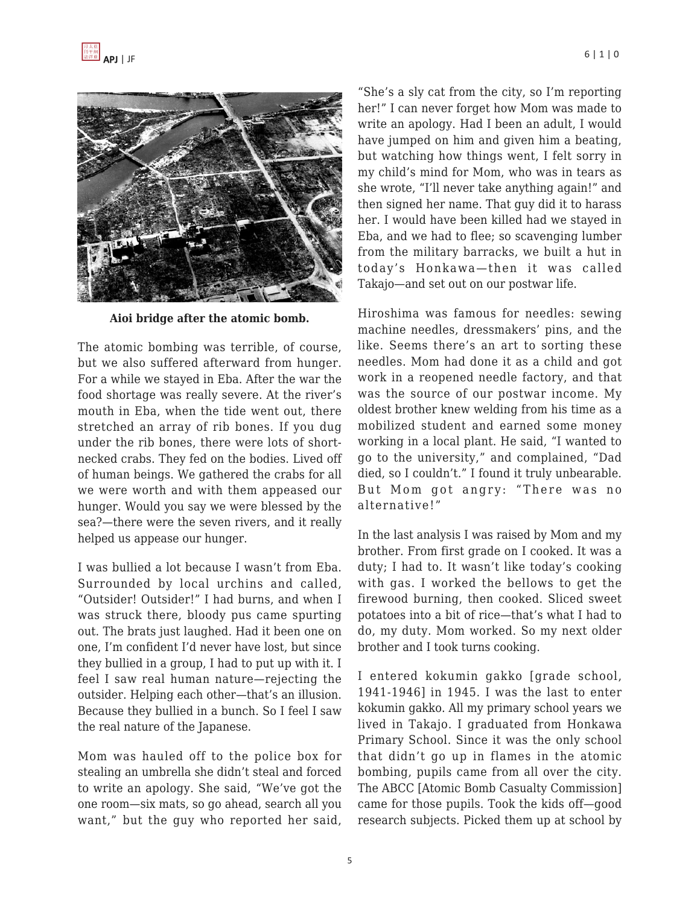

**Aioi bridge after the atomic bomb.**

The atomic bombing was terrible, of course, but we also suffered afterward from hunger. For a while we stayed in Eba. After the war the food shortage was really severe. At the river's mouth in Eba, when the tide went out, there stretched an array of rib bones. If you dug under the rib bones, there were lots of shortnecked crabs. They fed on the bodies. Lived off of human beings. We gathered the crabs for all we were worth and with them appeased our hunger. Would you say we were blessed by the sea?—there were the seven rivers, and it really helped us appease our hunger.

I was bullied a lot because I wasn't from Eba. Surrounded by local urchins and called, "Outsider! Outsider!" I had burns, and when I was struck there, bloody pus came spurting out. The brats just laughed. Had it been one on one, I'm confident I'd never have lost, but since they bullied in a group, I had to put up with it. I feel I saw real human nature—rejecting the outsider. Helping each other—that's an illusion. Because they bullied in a bunch. So I feel I saw the real nature of the Japanese.

Mom was hauled off to the police box for stealing an umbrella she didn't steal and forced to write an apology. She said, "We've got the one room—six mats, so go ahead, search all you want," but the guy who reported her said,

"She's a sly cat from the city, so I'm reporting her!" I can never forget how Mom was made to write an apology. Had I been an adult, I would have jumped on him and given him a beating, but watching how things went, I felt sorry in my child's mind for Mom, who was in tears as she wrote, "I'll never take anything again!" and then signed her name. That guy did it to harass her. I would have been killed had we stayed in Eba, and we had to flee; so scavenging lumber from the military barracks, we built a hut in today's Honkawa—then it was called Takajo—and set out on our postwar life.

Hiroshima was famous for needles: sewing machine needles, dressmakers' pins, and the like. Seems there's an art to sorting these needles. Mom had done it as a child and got work in a reopened needle factory, and that was the source of our postwar income. My oldest brother knew welding from his time as a mobilized student and earned some money working in a local plant. He said, "I wanted to go to the university," and complained, "Dad died, so I couldn't." I found it truly unbearable. But Mom got angry: "There was no alternative!"

In the last analysis I was raised by Mom and my brother. From first grade on I cooked. It was a duty; I had to. It wasn't like today's cooking with gas. I worked the bellows to get the firewood burning, then cooked. Sliced sweet potatoes into a bit of rice—that's what I had to do, my duty. Mom worked. So my next older brother and I took turns cooking.

I entered kokumin gakko [grade school, 1941-1946] in 1945. I was the last to enter kokumin gakko. All my primary school years we lived in Takajo. I graduated from Honkawa Primary School. Since it was the only school that didn't go up in flames in the atomic bombing, pupils came from all over the city. The ABCC [Atomic Bomb Casualty Commission] came for those pupils. Took the kids off—good research subjects. Picked them up at school by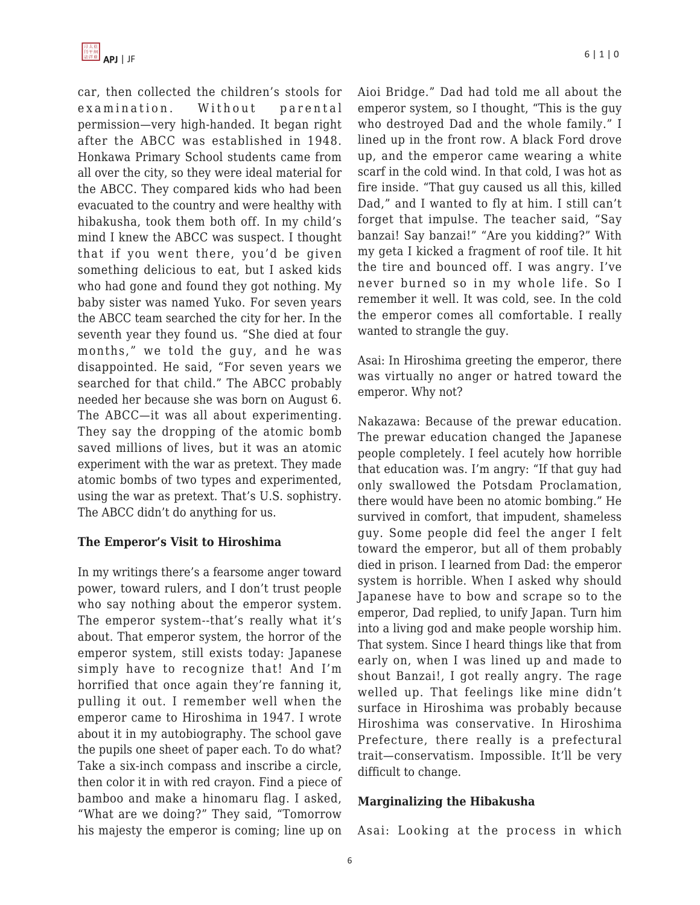car, then collected the children's stools for examination. Without parental permission—very high-handed. It began right after the ABCC was established in 1948. Honkawa Primary School students came from all over the city, so they were ideal material for the ABCC. They compared kids who had been evacuated to the country and were healthy with hibakusha, took them both off. In my child's mind I knew the ABCC was suspect. I thought that if you went there, you'd be given something delicious to eat, but I asked kids who had gone and found they got nothing. My baby sister was named Yuko. For seven years the ABCC team searched the city for her. In the seventh year they found us. "She died at four months," we told the guy, and he was disappointed. He said, "For seven years we searched for that child." The ABCC probably needed her because she was born on August 6. The ABCC—it was all about experimenting. They say the dropping of the atomic bomb saved millions of lives, but it was an atomic experiment with the war as pretext. They made atomic bombs of two types and experimented, using the war as pretext. That's U.S. sophistry. The ABCC didn't do anything for us.

#### **The Emperor's Visit to Hiroshima**

In my writings there's a fearsome anger toward power, toward rulers, and I don't trust people who say nothing about the emperor system. The emperor system--that's really what it's about. That emperor system, the horror of the emperor system, still exists today: Japanese simply have to recognize that! And I'm horrified that once again they're fanning it, pulling it out. I remember well when the emperor came to Hiroshima in 1947. I wrote about it in my autobiography. The school gave the pupils one sheet of paper each. To do what? Take a six-inch compass and inscribe a circle, then color it in with red crayon. Find a piece of bamboo and make a hinomaru flag. I asked, "What are we doing?" They said, "Tomorrow his majesty the emperor is coming; line up on Aioi Bridge." Dad had told me all about the emperor system, so I thought, "This is the guy who destroyed Dad and the whole family." I lined up in the front row. A black Ford drove up, and the emperor came wearing a white scarf in the cold wind. In that cold, I was hot as fire inside. "That guy caused us all this, killed Dad," and I wanted to fly at him. I still can't forget that impulse. The teacher said, "Say banzai! Say banzai!" "Are you kidding?" With my geta I kicked a fragment of roof tile. It hit the tire and bounced off. I was angry. I've never burned so in my whole life. So I

the emperor comes all comfortable. I really wanted to strangle the guy. Asai: In Hiroshima greeting the emperor, there

remember it well. It was cold, see. In the cold

was virtually no anger or hatred toward the emperor. Why not?

Nakazawa: Because of the prewar education. The prewar education changed the Japanese people completely. I feel acutely how horrible that education was. I'm angry: "If that guy had only swallowed the Potsdam Proclamation, there would have been no atomic bombing." He survived in comfort, that impudent, shameless guy. Some people did feel the anger I felt toward the emperor, but all of them probably died in prison. I learned from Dad: the emperor system is horrible. When I asked why should Japanese have to bow and scrape so to the emperor, Dad replied, to unify Japan. Turn him into a living god and make people worship him. That system. Since I heard things like that from early on, when I was lined up and made to shout Banzai!, I got really angry. The rage welled up. That feelings like mine didn't surface in Hiroshima was probably because Hiroshima was conservative. In Hiroshima Prefecture, there really is a prefectural trait—conservatism. Impossible. It'll be very difficult to change.

## **Marginalizing the Hibakusha**

Asai: Looking at the process in which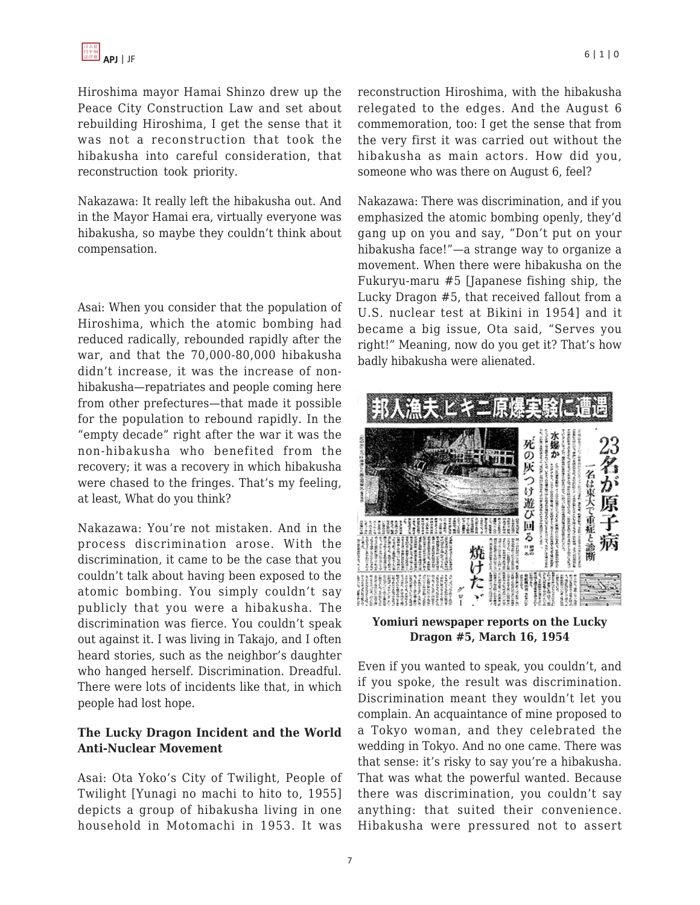Hiroshima mayor Hamai Shinzo drew up the Peace City Construction Law and set about rebuilding Hiroshima, I get the sense that it was not a reconstruction that took the hibakusha into careful consideration, that reconstruction took priority.

Nakazawa: It really left the hibakusha out. And in the Mayor Hamai era, virtually everyone was hibakusha, so maybe they couldn't think about compensation.

Asai: When you consider that the population of Hiroshima, which the atomic bombing had reduced radically, rebounded rapidly after the war, and that the 70,000-80,000 hibakusha didn't increase, it was the increase of nonhibakusha—repatriates and people coming here from other prefectures—that made it possible for the population to rebound rapidly. In the "empty decade" right after the war it was the non-hibakusha who benefited from the recovery; it was a recovery in which hibakusha were chased to the fringes. That's my feeling, at least, What do you think?

Nakazawa: You're not mistaken. And in the process discrimination arose. With the discrimination, it came to be the case that you couldn't talk about having been exposed to the atomic bombing. You simply couldn't say publicly that you were a hibakusha. The discrimination was fierce. You couldn't speak out against it. I was living in Takajo, and I often heard stories, such as the neighbor's daughter who hanged herself. Discrimination. Dreadful. There were lots of incidents like that, in which people had lost hope.

## **The Lucky Dragon Incident and the World Anti-Nuclear Movement**

Asai: Ota Yoko's City of Twilight, People of Twilight [Yunagi no machi to hito to, 1955] depicts a group of hibakusha living in one household in Motomachi in 1953. It was reconstruction Hiroshima, with the hibakusha relegated to the edges. And the August 6 commemoration, too: I get the sense that from the very first it was carried out without the hibakusha as main actors. How did you, someone who was there on August 6, feel?

Nakazawa: There was discrimination, and if you emphasized the atomic bombing openly, they'd gang up on you and say, "Don't put on your hibakusha face!"—a strange way to organize a movement. When there were hibakusha on the Fukuryu-maru #5 [Japanese fishing ship, the Lucky Dragon #5, that received fallout from a U.S. nuclear test at Bikini in 1954] and it became a big issue, Ota said, "Serves you right!" Meaning, now do you get it? That's how badly hibakusha were alienated.



**Yomiuri newspaper reports on the Lucky Dragon #5, March 16, 1954**

Even if you wanted to speak, you couldn't, and if you spoke, the result was discrimination. Discrimination meant they wouldn't let you complain. An acquaintance of mine proposed to a Tokyo woman, and they celebrated the wedding in Tokyo. And no one came. There was that sense: it's risky to say you're a hibakusha. That was what the powerful wanted. Because there was discrimination, you couldn't say anything: that suited their convenience. Hibakusha were pressured not to assert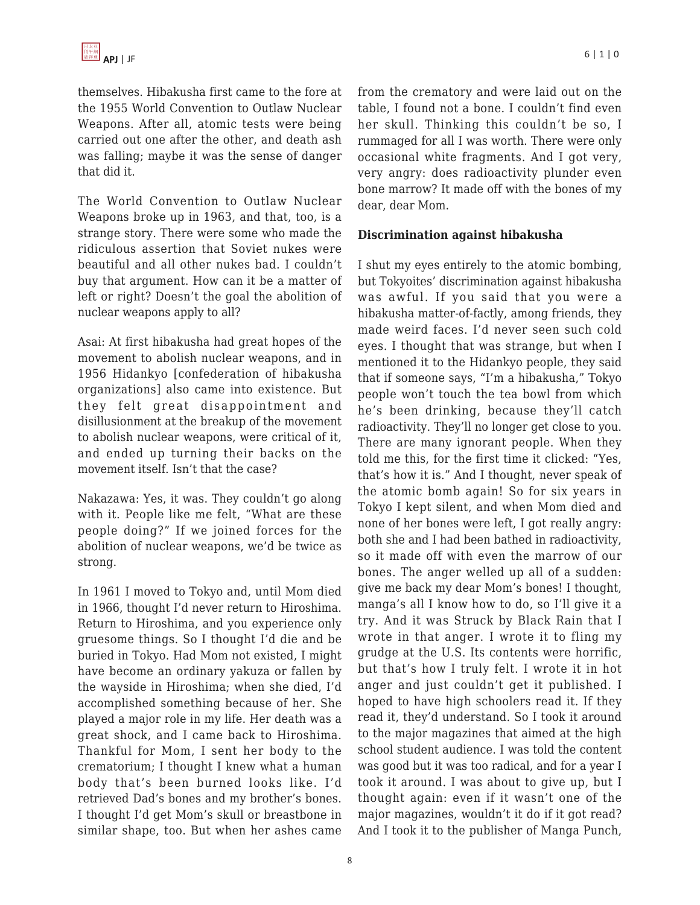themselves. Hibakusha first came to the fore at the 1955 World Convention to Outlaw Nuclear Weapons. After all, atomic tests were being carried out one after the other, and death ash was falling; maybe it was the sense of danger that did it.

The World Convention to Outlaw Nuclear Weapons broke up in 1963, and that, too, is a strange story. There were some who made the ridiculous assertion that Soviet nukes were beautiful and all other nukes bad. I couldn't buy that argument. How can it be a matter of left or right? Doesn't the goal the abolition of nuclear weapons apply to all?

Asai: At first hibakusha had great hopes of the movement to abolish nuclear weapons, and in 1956 Hidankyo [confederation of hibakusha organizations] also came into existence. But they felt great disappointment and disillusionment at the breakup of the movement to abolish nuclear weapons, were critical of it, and ended up turning their backs on the movement itself. Isn't that the case?

Nakazawa: Yes, it was. They couldn't go along with it. People like me felt, "What are these people doing?" If we joined forces for the abolition of nuclear weapons, we'd be twice as strong.

In 1961 I moved to Tokyo and, until Mom died in 1966, thought I'd never return to Hiroshima. Return to Hiroshima, and you experience only gruesome things. So I thought I'd die and be buried in Tokyo. Had Mom not existed, I might have become an ordinary yakuza or fallen by the wayside in Hiroshima; when she died, I'd accomplished something because of her. She played a major role in my life. Her death was a great shock, and I came back to Hiroshima. Thankful for Mom, I sent her body to the crematorium; I thought I knew what a human body that's been burned looks like. I'd retrieved Dad's bones and my brother's bones. I thought I'd get Mom's skull or breastbone in similar shape, too. But when her ashes came from the crematory and were laid out on the table, I found not a bone. I couldn't find even her skull. Thinking this couldn't be so, I rummaged for all I was worth. There were only occasional white fragments. And I got very, very angry: does radioactivity plunder even bone marrow? It made off with the bones of my dear, dear Mom.

## **Discrimination against hibakusha**

I shut my eyes entirely to the atomic bombing, but Tokyoites' discrimination against hibakusha was awful. If you said that you were a hibakusha matter-of-factly, among friends, they made weird faces. I'd never seen such cold eyes. I thought that was strange, but when I mentioned it to the Hidankyo people, they said that if someone says, "I'm a hibakusha," Tokyo people won't touch the tea bowl from which he's been drinking, because they'll catch radioactivity. They'll no longer get close to you. There are many ignorant people. When they told me this, for the first time it clicked: "Yes, that's how it is." And I thought, never speak of the atomic bomb again! So for six years in Tokyo I kept silent, and when Mom died and none of her bones were left, I got really angry: both she and I had been bathed in radioactivity, so it made off with even the marrow of our bones. The anger welled up all of a sudden: give me back my dear Mom's bones! I thought, manga's all I know how to do, so I'll give it a try. And it was Struck by Black Rain that I wrote in that anger. I wrote it to fling my grudge at the U.S. Its contents were horrific, but that's how I truly felt. I wrote it in hot anger and just couldn't get it published. I hoped to have high schoolers read it. If they read it, they'd understand. So I took it around to the major magazines that aimed at the high school student audience. I was told the content was good but it was too radical, and for a year I took it around. I was about to give up, but I thought again: even if it wasn't one of the major magazines, wouldn't it do if it got read? And I took it to the publisher of Manga Punch,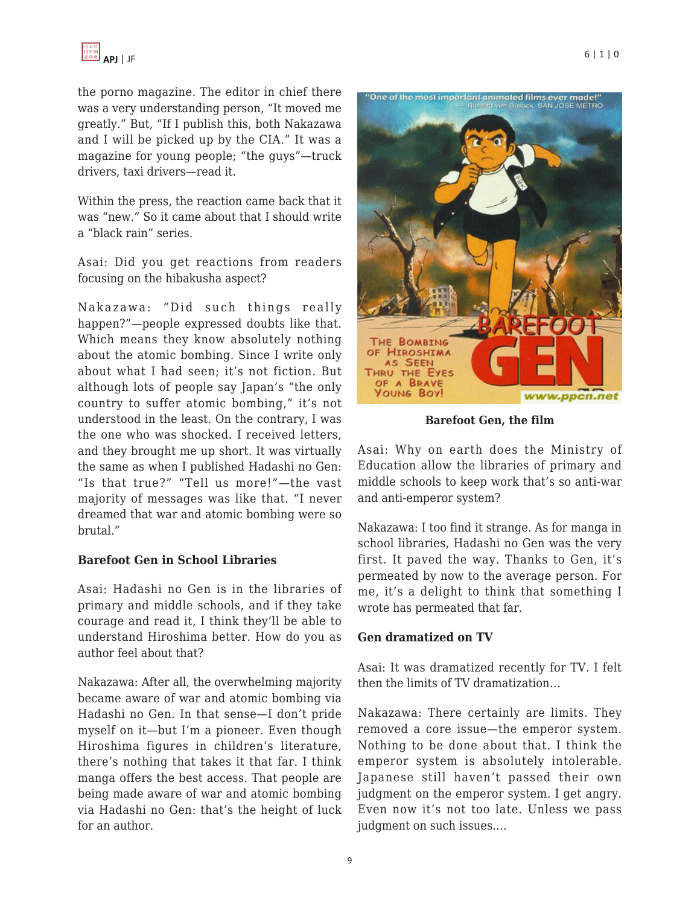the porno magazine. The editor in chief there was a very understanding person, "It moved me greatly." But, "If I publish this, both Nakazawa and I will be picked up by the CIA." It was a magazine for young people; "the guys"—truck drivers, taxi drivers—read it.

Within the press, the reaction came back that it was "new." So it came about that I should write a "black rain" series.

Asai: Did you get reactions from readers focusing on the hibakusha aspect?

Nakazawa: "Did such things really happen?"—people expressed doubts like that. Which means they know absolutely nothing about the atomic bombing. Since I write only about what I had seen; it's not fiction. But although lots of people say Japan's "the only country to suffer atomic bombing," it's not understood in the least. On the contrary, I was the one who was shocked. I received letters, and they brought me up short. It was virtually the same as when I published Hadashi no Gen: "Is that true?" "Tell us more!"—the vast majority of messages was like that. "I never dreamed that war and atomic bombing were so brutal."

## **Barefoot Gen in School Libraries**

Asai: Hadashi no Gen is in the libraries of primary and middle schools, and if they take courage and read it, I think they'll be able to understand Hiroshima better. How do you as author feel about that?

Nakazawa: After all, the overwhelming majority became aware of war and atomic bombing via Hadashi no Gen. In that sense—I don't pride myself on it—but I'm a pioneer. Even though Hiroshima figures in children's literature, there's nothing that takes it that far. I think manga offers the best access. That people are being made aware of war and atomic bombing via Hadashi no Gen: that's the height of luck for an author.



One of the most important animated films

Asai: Why on earth does the Ministry of Education allow the libraries of primary and middle schools to keep work that's so anti-war and anti-emperor system?

Nakazawa: I too find it strange. As for manga in school libraries, Hadashi no Gen was the very first. It paved the way. Thanks to Gen, it's permeated by now to the average person. For me, it's a delight to think that something I wrote has permeated that far.

#### **Gen dramatized on TV**

Asai: It was dramatized recently for TV. I felt then the limits of TV dramatization…

Nakazawa: There certainly are limits. They removed a core issue—the emperor system. Nothing to be done about that. I think the emperor system is absolutely intolerable. Japanese still haven't passed their own judgment on the emperor system. I get angry. Even now it's not too late. Unless we pass judgment on such issues….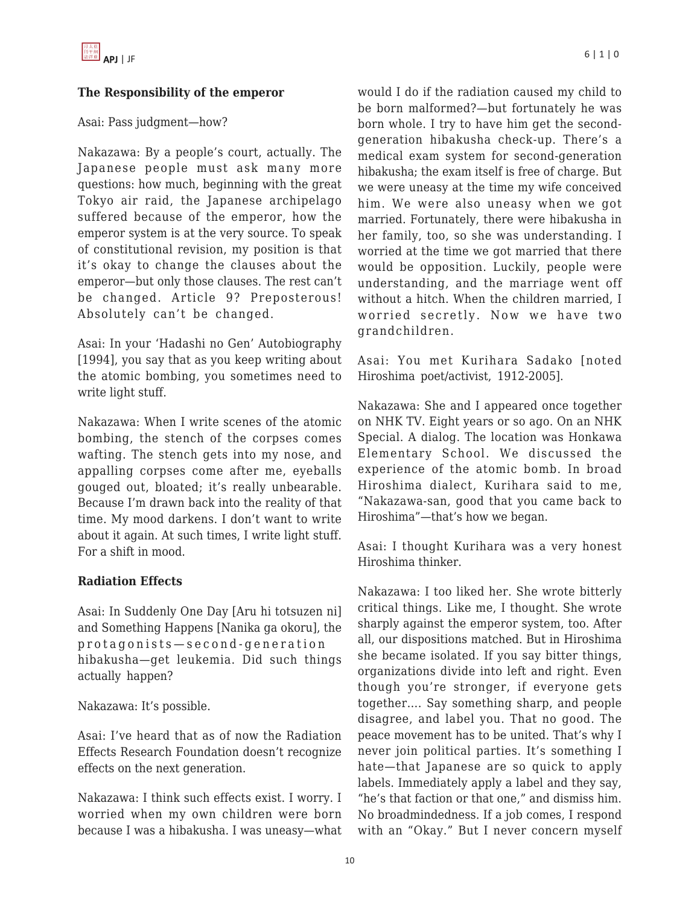# **The Responsibility of the emperor**

## Asai: Pass judgment—how?

Nakazawa: By a people's court, actually. The Japanese people must ask many more questions: how much, beginning with the great Tokyo air raid, the Japanese archipelago suffered because of the emperor, how the emperor system is at the very source. To speak of constitutional revision, my position is that it's okay to change the clauses about the emperor—but only those clauses. The rest can't be changed. Article 9? Preposterous! Absolutely can't be changed.

Asai: In your 'Hadashi no Gen' Autobiography [1994], you say that as you keep writing about the atomic bombing, you sometimes need to write light stuff.

Nakazawa: When I write scenes of the atomic bombing, the stench of the corpses comes wafting. The stench gets into my nose, and appalling corpses come after me, eyeballs gouged out, bloated; it's really unbearable. Because I'm drawn back into the reality of that time. My mood darkens. I don't want to write about it again. At such times, I write light stuff. For a shift in mood.

## **Radiation Effects**

Asai: In Suddenly One Day [Aru hi totsuzen ni] and Something Happens [Nanika ga okoru], the protagonists—second-generation hibakusha—get leukemia. Did such things actually happen?

Nakazawa: It's possible.

Asai: I've heard that as of now the Radiation Effects Research Foundation doesn't recognize effects on the next generation.

Nakazawa: I think such effects exist. I worry. I worried when my own children were born because I was a hibakusha. I was uneasy—what would I do if the radiation caused my child to be born malformed?—but fortunately he was born whole. I try to have him get the secondgeneration hibakusha check-up. There's a medical exam system for second-generation hibakusha; the exam itself is free of charge. But we were uneasy at the time my wife conceived him. We were also uneasy when we got married. Fortunately, there were hibakusha in her family, too, so she was understanding. I worried at the time we got married that there would be opposition. Luckily, people were understanding, and the marriage went off without a hitch. When the children married, I worried secretly. Now we have two grandchildren.

Asai: You met Kurihara Sadako [noted Hiroshima poet/activist, 1912-2005].

Nakazawa: She and I appeared once together on NHK TV. Eight years or so ago. On an NHK Special. A dialog. The location was Honkawa Elementary School. We discussed the experience of the atomic bomb. In broad Hiroshima dialect, Kurihara said to me, "Nakazawa-san, good that you came back to Hiroshima"—that's how we began.

Asai: I thought Kurihara was a very honest Hiroshima thinker.

Nakazawa: I too liked her. She wrote bitterly critical things. Like me, I thought. She wrote sharply against the emperor system, too. After all, our dispositions matched. But in Hiroshima she became isolated. If you say bitter things, organizations divide into left and right. Even though you're stronger, if everyone gets together…. Say something sharp, and people disagree, and label you. That no good. The peace movement has to be united. That's why I never join political parties. It's something I hate—that Japanese are so quick to apply labels. Immediately apply a label and they say, "he's that faction or that one," and dismiss him. No broadmindedness. If a job comes, I respond with an "Okay." But I never concern myself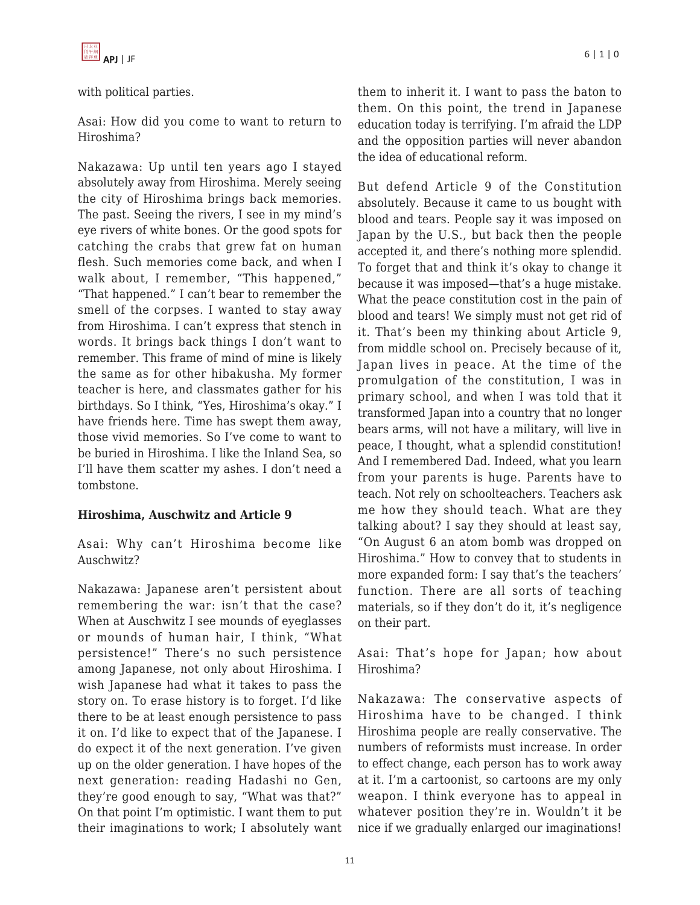with political parties.

Asai: How did you come to want to return to Hiroshima?

Nakazawa: Up until ten years ago I stayed absolutely away from Hiroshima. Merely seeing the city of Hiroshima brings back memories. The past. Seeing the rivers, I see in my mind's eye rivers of white bones. Or the good spots for catching the crabs that grew fat on human flesh. Such memories come back, and when I walk about, I remember, "This happened," "That happened." I can't bear to remember the smell of the corpses. I wanted to stay away from Hiroshima. I can't express that stench in words. It brings back things I don't want to remember. This frame of mind of mine is likely the same as for other hibakusha. My former teacher is here, and classmates gather for his birthdays. So I think, "Yes, Hiroshima's okay." I have friends here. Time has swept them away, those vivid memories. So I've come to want to be buried in Hiroshima. I like the Inland Sea, so I'll have them scatter my ashes. I don't need a tombstone.

## **Hiroshima, Auschwitz and Article 9**

Asai: Why can't Hiroshima become like Auschwitz?

Nakazawa: Japanese aren't persistent about remembering the war: isn't that the case? When at Auschwitz I see mounds of eyeglasses or mounds of human hair, I think, "What persistence!" There's no such persistence among Japanese, not only about Hiroshima. I wish Japanese had what it takes to pass the story on. To erase history is to forget. I'd like there to be at least enough persistence to pass it on. I'd like to expect that of the Japanese. I do expect it of the next generation. I've given up on the older generation. I have hopes of the next generation: reading Hadashi no Gen, they're good enough to say, "What was that?" On that point I'm optimistic. I want them to put their imaginations to work; I absolutely want them to inherit it. I want to pass the baton to them. On this point, the trend in Japanese education today is terrifying. I'm afraid the LDP and the opposition parties will never abandon the idea of educational reform.

But defend Article 9 of the Constitution absolutely. Because it came to us bought with blood and tears. People say it was imposed on Japan by the U.S., but back then the people accepted it, and there's nothing more splendid. To forget that and think it's okay to change it because it was imposed—that's a huge mistake. What the peace constitution cost in the pain of blood and tears! We simply must not get rid of it. That's been my thinking about Article 9, from middle school on. Precisely because of it, Japan lives in peace. At the time of the promulgation of the constitution, I was in primary school, and when I was told that it transformed Japan into a country that no longer bears arms, will not have a military, will live in peace, I thought, what a splendid constitution! And I remembered Dad. Indeed, what you learn from your parents is huge. Parents have to teach. Not rely on schoolteachers. Teachers ask me how they should teach. What are they talking about? I say they should at least say, "On August 6 an atom bomb was dropped on Hiroshima." How to convey that to students in more expanded form: I say that's the teachers' function. There are all sorts of teaching materials, so if they don't do it, it's negligence on their part.

Asai: That's hope for Japan; how about Hiroshima?

Nakazawa: The conservative aspects of Hiroshima have to be changed. I think Hiroshima people are really conservative. The numbers of reformists must increase. In order to effect change, each person has to work away at it. I'm a cartoonist, so cartoons are my only weapon. I think everyone has to appeal in whatever position they're in. Wouldn't it be nice if we gradually enlarged our imaginations!